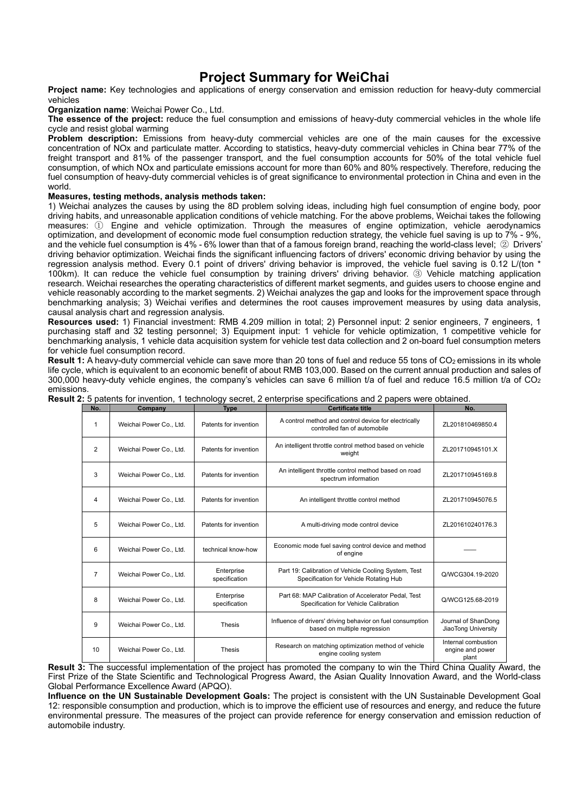## **Project Summary for WeiChai**

**Project name:** Key technologies and applications of energy conservation and emission reduction for heavy-duty commercial vehicles

**Organization name**: Weichai Power Co., Ltd.

**The essence of the project:** reduce the fuel consumption and emissions of heavy-duty commercial vehicles in the whole life cycle and resist global warming

**Problem description:** Emissions from heavy-duty commercial vehicles are one of the main causes for the excessive concentration of NOx and particulate matter. According to statistics, heavy-duty commercial vehicles in China bear 77% of the freight transport and 81% of the passenger transport, and the fuel consumption accounts for 50% of the total vehicle fuel consumption, of which NOx and particulate emissions account for more than 60% and 80% respectively. Therefore, reducing the fuel consumption of heavy-duty commercial vehicles is of great significance to environmental protection in China and even in the world.

## **Measures, testing methods, analysis methods taken:**

1) Weichai analyzes the causes by using the 8D problem solving ideas, including high fuel consumption of engine body, poor driving habits, and unreasonable application conditions of vehicle matching. For the above problems, Weichai takes the following measures: ① Engine and vehicle optimization. Through the measures of engine optimization, vehicle aerodynamics optimization, and development of economic mode fuel consumption reduction strategy, the vehicle fuel saving is up to 7% - 9%, and the vehicle fuel consumption is 4% - 6% lower than that of a famous foreign brand, reaching the world-class level; ② Drivers' driving behavior optimization. Weichai finds the significant influencing factors of drivers' economic driving behavior by using the regression analysis method. Every 0.1 point of drivers' driving behavior is improved, the vehicle fuel saving is 0.12 L/(ton \* 100km). It can reduce the vehicle fuel consumption by training drivers' driving behavior. ③ Vehicle matching application research. Weichai researches the operating characteristics of different market segments, and guides users to choose engine and vehicle reasonably according to the market segments. 2) Weichai analyzes the gap and looks for the improvement space through benchmarking analysis; 3) Weichai verifies and determines the root causes improvement measures by using data analysis, causal analysis chart and regression analysis.

**Resources used:** 1) Financial investment: RMB 4.209 million in total; 2) Personnel input: 2 senior engineers, 7 engineers, 1 purchasing staff and 32 testing personnel; 3) Equipment input: 1 vehicle for vehicle optimization, 1 competitive vehicle for benchmarking analysis, 1 vehicle data acquisition system for vehicle test data collection and 2 on-board fuel consumption meters for vehicle fuel consumption record.

**Result 1:** A heavy-duty commercial vehicle can save more than 20 tons of fuel and reduce 55 tons of CO<sub>2</sub> emissions in its whole life cycle, which is equivalent to an economic benefit of about RMB 103,000. Based on the current annual production and sales of 300,000 heavy-duty vehicle engines, the company's vehicles can save 6 million t/a of fuel and reduce 16.5 million t/a of  $CO<sub>2</sub>$ emissions.

| No.            | Company                 | <b>Type</b>                 | <b>Certificate title</b>                                                                       | No.                                              |
|----------------|-------------------------|-----------------------------|------------------------------------------------------------------------------------------------|--------------------------------------------------|
| 1              | Weichai Power Co., Ltd. | Patents for invention       | A control method and control device for electrically<br>controlled fan of automobile           | ZL201810469850.4                                 |
| 2              | Weichai Power Co., Ltd. | Patents for invention       | An intelligent throttle control method based on vehicle<br>weight                              | ZL201710945101.X                                 |
| 3              | Weichai Power Co., Ltd. | Patents for invention       | An intelligent throttle control method based on road<br>spectrum information                   | ZL201710945169.8                                 |
| 4              | Weichai Power Co., Ltd. | Patents for invention       | An intelligent throttle control method                                                         | ZL201710945076.5                                 |
| 5              | Weichai Power Co., Ltd. | Patents for invention       | A multi-driving mode control device                                                            | ZL201610240176.3                                 |
| 6              | Weichai Power Co., Ltd. | technical know-how          | Economic mode fuel saving control device and method<br>of engine                               |                                                  |
| $\overline{7}$ | Weichai Power Co., Ltd. | Enterprise<br>specification | Part 19: Calibration of Vehicle Cooling System, Test<br>Specification for Vehicle Rotating Hub | Q/WCG304.19-2020                                 |
| 8              | Weichai Power Co., Ltd. | Enterprise<br>specification | Part 68: MAP Calibration of Accelerator Pedal, Test<br>Specification for Vehicle Calibration   | Q/WCG125.68-2019                                 |
| 9              | Weichai Power Co., Ltd. | <b>Thesis</b>               | Influence of drivers' driving behavior on fuel consumption<br>based on multiple regression     | Journal of ShanDong<br>JiaoTong University       |
| 10             | Weichai Power Co., Ltd. | <b>Thesis</b>               | Research on matching optimization method of vehicle<br>engine cooling system                   | Internal combustion<br>engine and power<br>plant |

| Result 2: 5 patents for invention, 1 technology secret, 2 enterprise specifications and 2 papers were obtained. |
|-----------------------------------------------------------------------------------------------------------------|
|-----------------------------------------------------------------------------------------------------------------|

**Result 3:** The successful implementation of the project has promoted the company to win the Third China Quality Award, the First Prize of the State Scientific and Technological Progress Award, the Asian Quality Innovation Award, and the World-class Global Performance Excellence Award (APQO).

**Influence on the UN Sustainable Development Goals:** The project is consistent with the UN Sustainable Development Goal 12: responsible consumption and production, which is to improve the efficient use of resources and energy, and reduce the future environmental pressure. The measures of the project can provide reference for energy conservation and emission reduction of automobile industry.